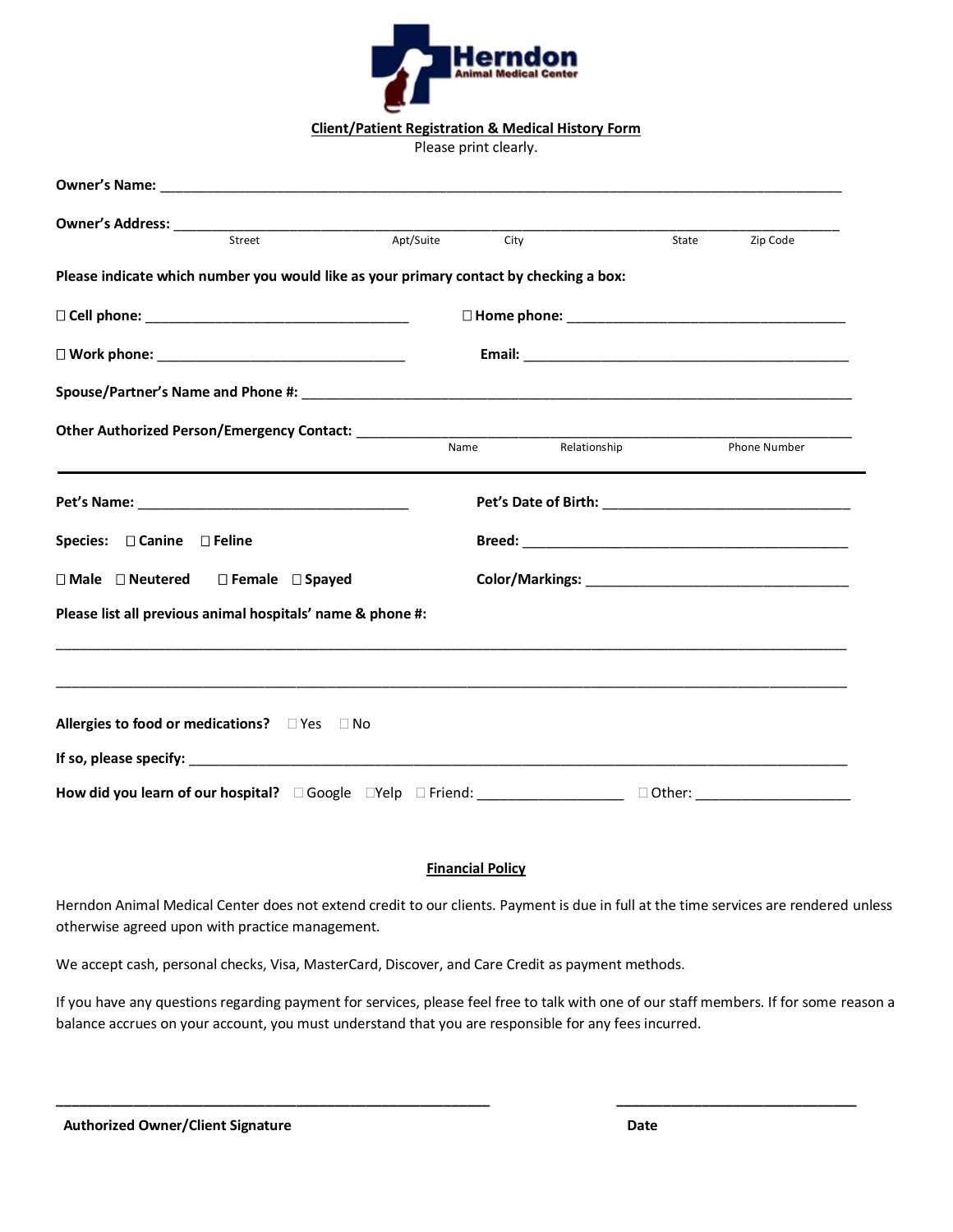

**Client/Patient Registration & Medical History Form**

Please print clearly.

| Street                                                                                           | Apt/Suite City |              | State | Zip Code     |
|--------------------------------------------------------------------------------------------------|----------------|--------------|-------|--------------|
| Please indicate which number you would like as your primary contact by checking a box:           |                |              |       |              |
|                                                                                                  |                |              |       |              |
|                                                                                                  |                |              |       |              |
|                                                                                                  |                |              |       |              |
|                                                                                                  | Name           | Relationship |       | Phone Number |
|                                                                                                  |                |              |       |              |
| Species: □ Canine □ Feline                                                                       |                |              |       |              |
| $\square$ Male $\square$ Neutered $\square$ Female $\square$ Spayed                              |                |              |       |              |
| Please list all previous animal hospitals' name & phone #:                                       |                |              |       |              |
|                                                                                                  |                |              |       |              |
| Allergies to food or medications? DYes DNo                                                       |                |              |       |              |
|                                                                                                  |                |              |       |              |
| How did you learn of our hospital? DGoogle DYelp D Friend: University Dather: University Dother: |                |              |       |              |

## **Financial Policy**

Herndon Animal Medical Center does not extend credit to our clients. Payment is due in full at the time services are rendered unless otherwise agreed upon with practice management.

We accept cash, personal checks, Visa, MasterCard, Discover, and Care Credit as payment methods.

If you have any questions regarding payment for services, please feel free to talk with one of our staff members. If for some reason a balance accrues on your account, you must understand that you are responsible for any fees incurred.

**\_\_\_\_\_\_\_\_\_\_\_\_\_\_\_\_\_\_\_\_\_\_\_\_\_\_\_\_\_\_\_\_\_\_\_\_\_\_\_\_\_\_\_\_\_\_\_\_\_\_\_\_\_\_\_\_ \_\_\_\_\_\_\_\_\_\_\_\_\_\_\_\_\_\_\_\_\_\_\_\_\_\_\_\_\_\_\_**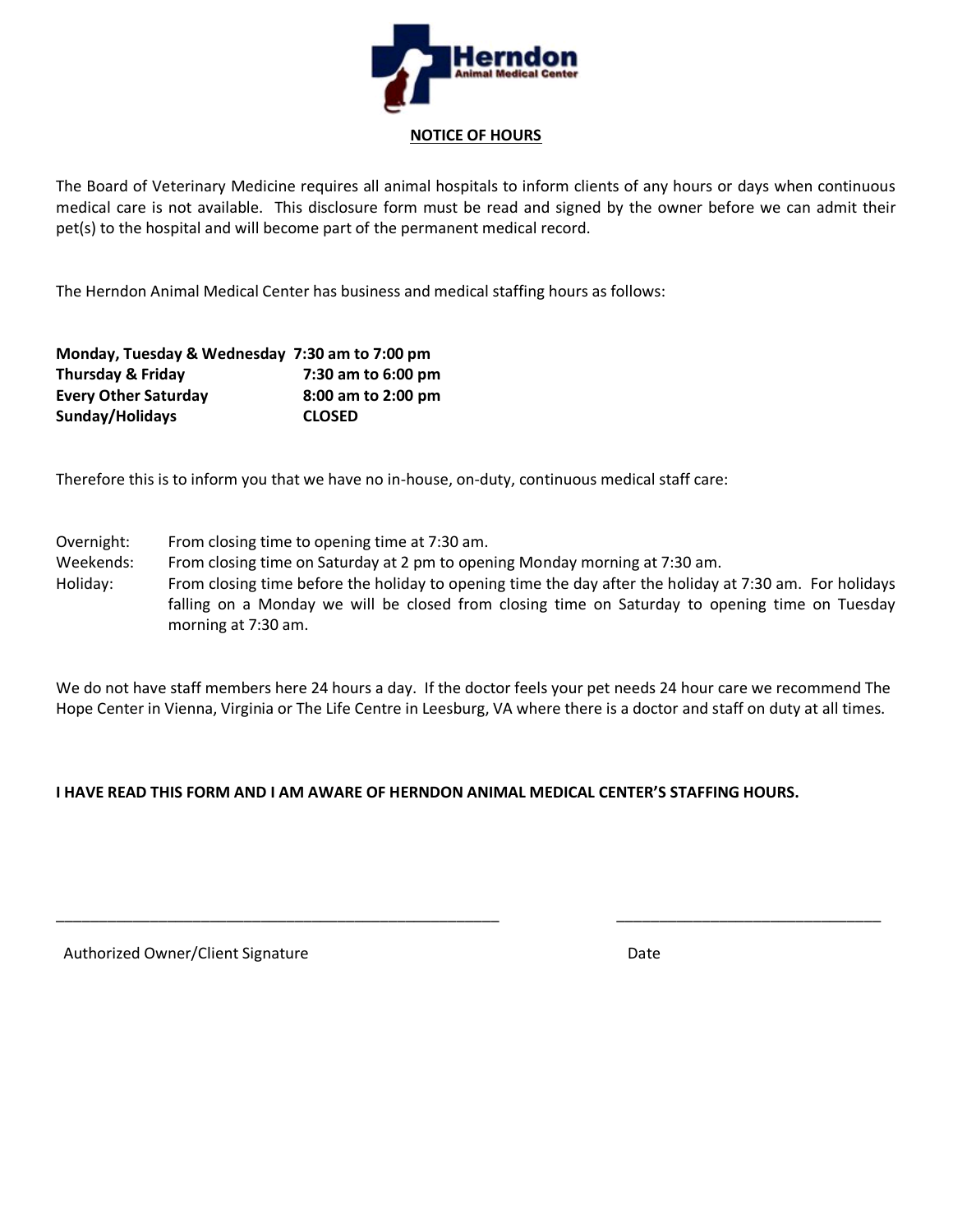

**NOTICE OF HOURS**

The Board of Veterinary Medicine requires all animal hospitals to inform clients of any hours or days when continuous medical care is not available. This disclosure form must be read and signed by the owner before we can admit their pet(s) to the hospital and will become part of the permanent medical record.

The Herndon Animal Medical Center has business and medical staffing hours as follows:

| Monday, Tuesday & Wednesday 7:30 am to 7:00 pm |                    |
|------------------------------------------------|--------------------|
| <b>Thursday &amp; Friday</b>                   | 7:30 am to 6:00 pm |
| <b>Every Other Saturday</b>                    | 8:00 am to 2:00 pm |
| Sunday/Holidays                                | <b>CLOSED</b>      |

Therefore this is to inform you that we have no in-house, on-duty, continuous medical staff care:

Overnight: From closing time to opening time at 7:30 am.

Weekends: From closing time on Saturday at 2 pm to opening Monday morning at 7:30 am.

Holiday: From closing time before the holiday to opening time the day after the holiday at 7:30 am. For holidays falling on a Monday we will be closed from closing time on Saturday to opening time on Tuesday morning at 7:30 am.

We do not have staff members here 24 hours a day. If the doctor feels your pet needs 24 hour care we recommend The Hope Center in Vienna, Virginia or The Life Centre in Leesburg, VA where there is a doctor and staff on duty at all times.

\_\_\_\_\_\_\_\_\_\_\_\_\_\_\_\_\_\_\_\_\_\_\_\_\_\_\_\_\_\_\_\_\_\_\_\_\_\_\_\_\_\_\_\_\_\_\_\_\_\_\_\_ \_\_\_\_\_\_\_\_\_\_\_\_\_\_\_\_\_\_\_\_\_\_\_\_\_\_\_\_\_\_\_

## **I HAVE READ THIS FORM AND I AM AWARE OF HERNDON ANIMAL MEDICAL CENTER'S STAFFING HOURS.**

Authorized Owner/Client Signature **Date of Contact Contact Contact Contact Contact Contact Contact Contact Conta**